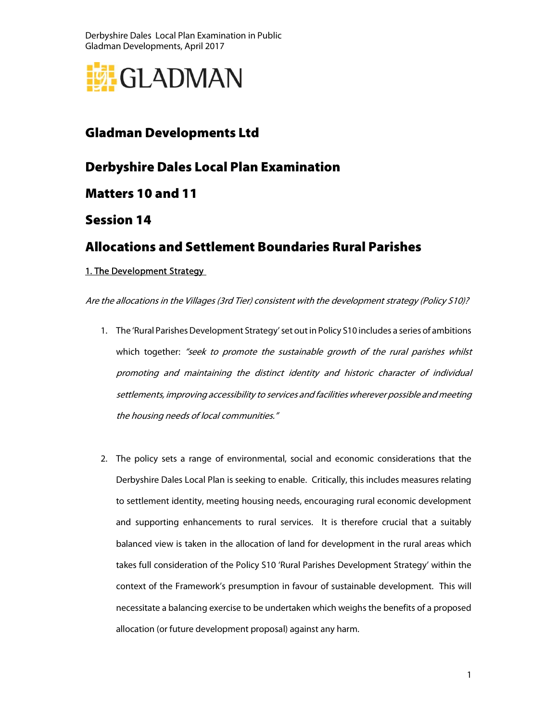

## Gladman Developments Ltd

Derbyshire Dales Local Plan Examination

Matters 10 and 11

Session 14

## Allocations and Settlement Boundaries Rural Parishes

### 1. The Development Strategy

Are the allocations in the Villages (3rd Tier) consistent with the development strategy (Policy S10)?

- 1. The 'Rural Parishes Development Strategy' set out in Policy S10 includes a series of ambitions which together: "seek to promote the sustainable growth of the rural parishes whilst promoting and maintaining the distinct identity and historic character of individual settlements, improving accessibility to services and facilities wherever possible and meeting the housing needs of local communities."
- 2. The policy sets a range of environmental, social and economic considerations that the Derbyshire Dales Local Plan is seeking to enable. Critically, this includes measures relating to settlement identity, meeting housing needs, encouraging rural economic development and supporting enhancements to rural services. It is therefore crucial that a suitably balanced view is taken in the allocation of land for development in the rural areas which takes full consideration of the Policy S10 'Rural Parishes Development Strategy' within the context of the Framework's presumption in favour of sustainable development. This will necessitate a balancing exercise to be undertaken which weighs the benefits of a proposed allocation (or future development proposal) against any harm.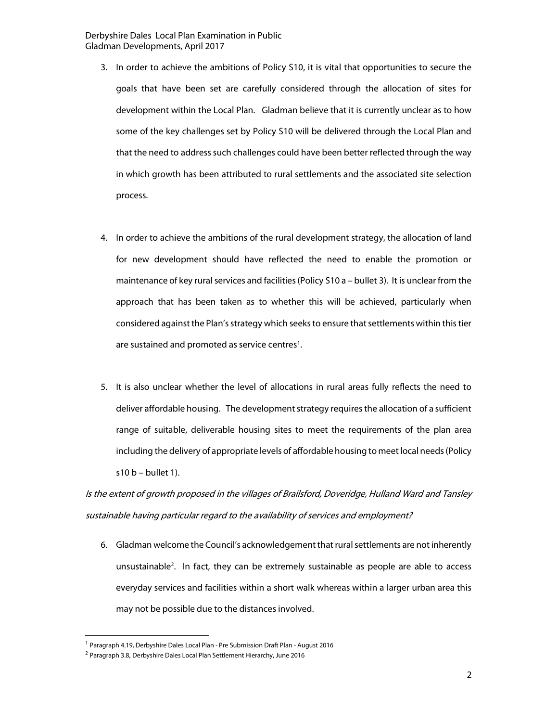- 3. In order to achieve the ambitions of Policy S10, it is vital that opportunities to secure the goals that have been set are carefully considered through the allocation of sites for development within the Local Plan. Gladman believe that it is currently unclear as to how some of the key challenges set by Policy S10 will be delivered through the Local Plan and that the need to address such challenges could have been better reflected through the way in which growth has been attributed to rural settlements and the associated site selection process.
- 4. In order to achieve the ambitions of the rural development strategy, the allocation of land for new development should have reflected the need to enable the promotion or maintenance of key rural services and facilities (Policy S10 a – bullet 3). It is unclear from the approach that has been taken as to whether this will be achieved, particularly when considered against the Plan's strategy which seeks to ensure that settlements within this tier are sustained and promoted as service centres<sup>1</sup>.
- 5. It is also unclear whether the level of allocations in rural areas fully reflects the need to deliver affordable housing. The development strategy requires the allocation of a sufficient range of suitable, deliverable housing sites to meet the requirements of the plan area including the delivery of appropriate levels of affordable housing to meet local needs (Policy s10 $b -$ bullet 1).

Is the extent of growth proposed in the villages of Brailsford, Doveridge, Hulland Ward and Tansley sustainable having particular regard to the availability of services and employment?

6. Gladman welcome the Council's acknowledgement that rural settlements are not inherently unsustainable<sup>2</sup> . In fact, they can be extremely sustainable as people are able to access everyday services and facilities within a short walk whereas within a larger urban area this may not be possible due to the distances involved.

-

<sup>&</sup>lt;sup>1</sup> Paragraph 4.19, Derbyshire Dales Local Plan - Pre Submission Draft Plan - August 2016

<sup>&</sup>lt;sup>2</sup> Paragraph 3.8, Derbyshire Dales Local Plan Settlement Hierarchy, June 2016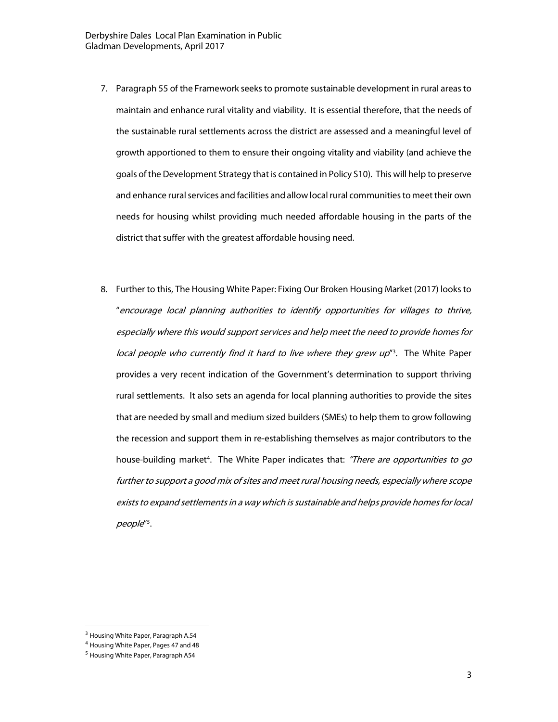- 7. Paragraph 55 of the Framework seeks to promote sustainable development in rural areas to maintain and enhance rural vitality and viability. It is essential therefore, that the needs of the sustainable rural settlements across the district are assessed and a meaningful level of growth apportioned to them to ensure their ongoing vitality and viability (and achieve the goals of the Development Strategy that is contained in Policy S10). This will help to preserve and enhance rural services and facilities and allow local rural communities to meet their own needs for housing whilst providing much needed affordable housing in the parts of the district that suffer with the greatest affordable housing need.
- 8. Further to this, The Housing White Paper: Fixing Our Broken Housing Market (2017) looks to "encourage local planning authorities to identify opportunities for villages to thrive, especially where this would support services and help meet the need to provide homes for local people who currently find it hard to live where they grew up<sup>r3</sup>. The White Paper provides a very recent indication of the Government's determination to support thriving rural settlements. It also sets an agenda for local planning authorities to provide the sites that are needed by small and medium sized builders (SMEs) to help them to grow following the recession and support them in re-establishing themselves as major contributors to the house-building market<sup>4</sup>. The White Paper indicates that: "There are opportunities to go further to support a good mix of sites and meet rural housing needs, especially where scope exists to expand settlements in a way which is sustainable and helps provide homes for local people" 5 .

-

<sup>&</sup>lt;sup>3</sup> Housing White Paper, Paragraph A.54

<sup>&</sup>lt;sup>4</sup> Housing White Paper, Pages 47 and 48

<sup>&</sup>lt;sup>5</sup> Housing White Paper, Paragraph A54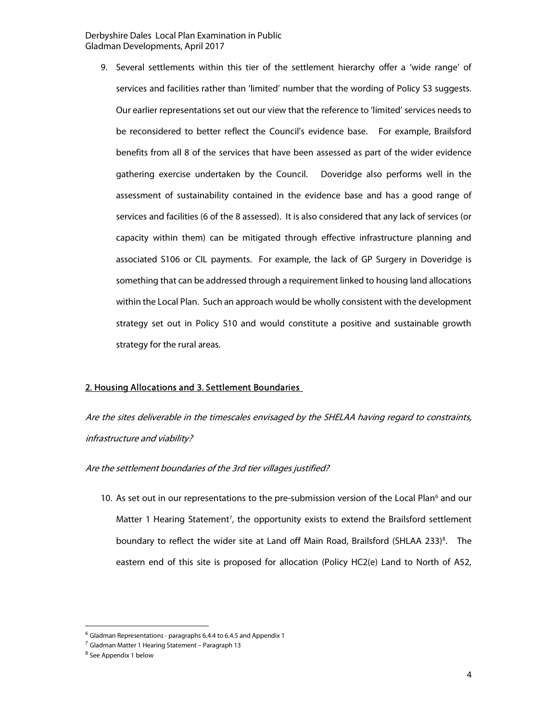9. Several settlements within this tier of the settlement hierarchy offer a 'wide range' of services and facilities rather than 'limited' number that the wording of Policy S3 suggests. Our earlier representations set out our view that the reference to 'limited' services needs to be reconsidered to better reflect the Council's evidence base. For example, Brailsford benefits from all 8 of the services that have been assessed as part of the wider evidence gathering exercise undertaken by the Council. Doveridge also performs well in the assessment of sustainability contained in the evidence base and has a good range of services and facilities (6 of the 8 assessed). It is also considered that any lack of services (or capacity within them) can be mitigated through effective infrastructure planning and associated S106 or CIL payments. For example, the lack of GP Surgery in Doveridge is something that can be addressed through a requirement linked to housing land allocations within the Local Plan. Such an approach would be wholly consistent with the development strategy set out in Policy S10 and would constitute a positive and sustainable growth strategy for the rural areas.

#### 2. Housing Allocations and 3. Settlement Boundaries

Are the sites deliverable in the timescales envisaged by the SHELAA having regard to constraints, infrastructure and viability?

Are the settlement boundaries of the 3rd tier villages justified?

10. As set out in our representations to the pre-submission version of the Local Plan<sup>6</sup> and our Matter 1 Hearing Statement<sup>7</sup>, the opportunity exists to extend the Brailsford settlement boundary to reflect the wider site at Land off Main Road, Brailsford (SHLAA 233)<sup>8</sup>. The eastern end of this site is proposed for allocation (Policy HC2(e) Land to North of A52,

-

 $6$  Gladman Representations - paragraphs 6.4.4 to 6.4.5 and Appendix 1

<sup>&</sup>lt;sup>7</sup> Gladman Matter 1 Hearing Statement – Paragraph 13

<sup>8</sup> See Appendix 1 below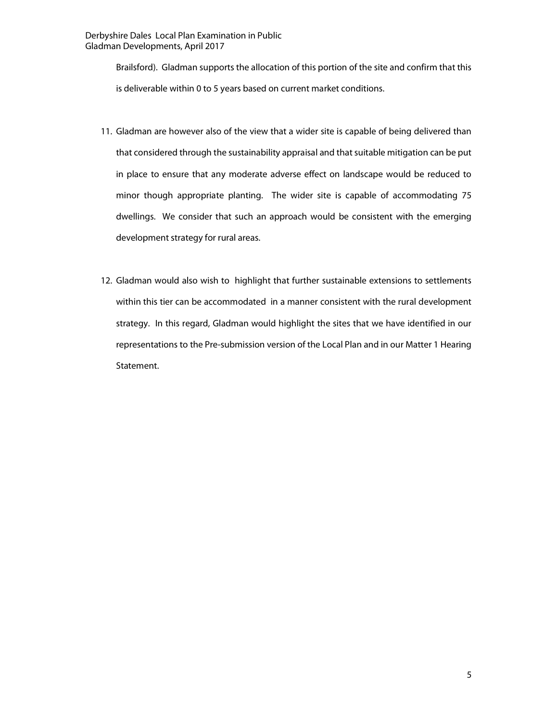Brailsford). Gladman supports the allocation of this portion of the site and confirm that this is deliverable within 0 to 5 years based on current market conditions.

- 11. Gladman are however also of the view that a wider site is capable of being delivered than that considered through the sustainability appraisal and that suitable mitigation can be put in place to ensure that any moderate adverse effect on landscape would be reduced to minor though appropriate planting. The wider site is capable of accommodating 75 dwellings. We consider that such an approach would be consistent with the emerging development strategy for rural areas.
- 12. Gladman would also wish to highlight that further sustainable extensions to settlements within this tier can be accommodated in a manner consistent with the rural development strategy. In this regard, Gladman would highlight the sites that we have identified in our representations to the Pre-submission version of the Local Plan and in our Matter 1 Hearing Statement.